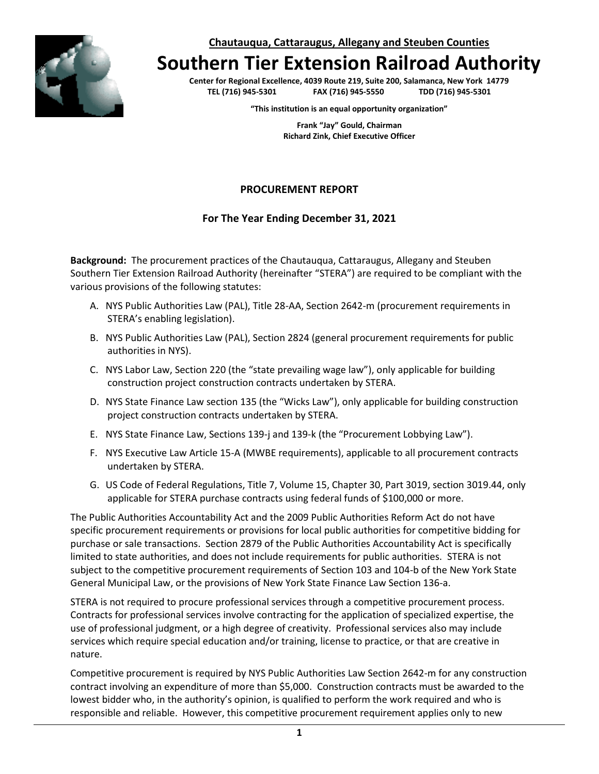**Chautauqua, Cattaraugus, Allegany and Steuben Counties**



# **Southern Tier Extension Railroad Authority**

**Center for Regional Excellence, 4039 Route 219, Suite 200, Salamanca, New York 14779 TEL (716) 945-5301 FAX (716) 945-5550 TDD (716) 945-5301**

**"This institution is an equal opportunity organization"**

**Frank "Jay" Gould, Chairman Richard Zink, Chief Executive Officer**

### **PROCUREMENT REPORT**

#### **For The Year Ending December 31, 2021**

**Background:** The procurement practices of the Chautauqua, Cattaraugus, Allegany and Steuben Southern Tier Extension Railroad Authority (hereinafter "STERA") are required to be compliant with the various provisions of the following statutes:

- A. NYS Public Authorities Law (PAL), Title 28-AA, Section 2642-m (procurement requirements in STERA's enabling legislation).
- B. NYS Public Authorities Law (PAL), Section 2824 (general procurement requirements for public authorities in NYS).
- C. NYS Labor Law, Section 220 (the "state prevailing wage law"), only applicable for building construction project construction contracts undertaken by STERA.
- D. NYS State Finance Law section 135 (the "Wicks Law"), only applicable for building construction project construction contracts undertaken by STERA.
- E. NYS State Finance Law, Sections 139-j and 139-k (the "Procurement Lobbying Law").
- F. NYS Executive Law Article 15-A (MWBE requirements), applicable to all procurement contracts undertaken by STERA.
- G. US Code of Federal Regulations, Title 7, Volume 15, Chapter 30, Part 3019, section 3019.44, only applicable for STERA purchase contracts using federal funds of \$100,000 or more.

The Public Authorities Accountability Act and the 2009 Public Authorities Reform Act do not have specific procurement requirements or provisions for local public authorities for competitive bidding for purchase or sale transactions. Section 2879 of the Public Authorities Accountability Act is specifically limited to state authorities, and does not include requirements for public authorities. STERA is not subject to the competitive procurement requirements of Section 103 and 104-b of the New York State General Municipal Law, or the provisions of New York State Finance Law Section 136-a.

STERA is not required to procure professional services through a competitive procurement process. Contracts for professional services involve contracting for the application of specialized expertise, the use of professional judgment, or a high degree of creativity. Professional services also may include services which require special education and/or training, license to practice, or that are creative in nature.

Competitive procurement is required by NYS Public Authorities Law Section 2642-m for any construction contract involving an expenditure of more than \$5,000. Construction contracts must be awarded to the lowest bidder who, in the authority's opinion, is qualified to perform the work required and who is responsible and reliable. However, this competitive procurement requirement applies only to new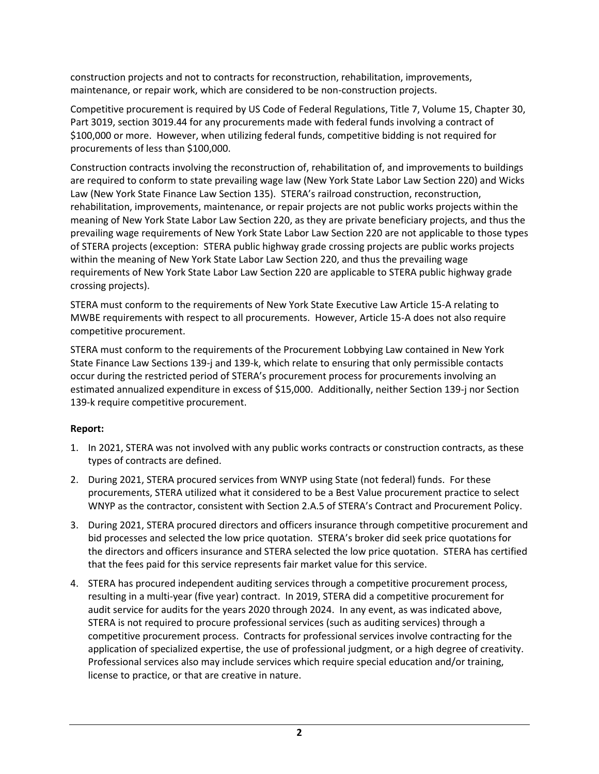construction projects and not to contracts for reconstruction, rehabilitation, improvements, maintenance, or repair work, which are considered to be non-construction projects.

Competitive procurement is required by US Code of Federal Regulations, Title 7, Volume 15, Chapter 30, Part 3019, section 3019.44 for any procurements made with federal funds involving a contract of \$100,000 or more. However, when utilizing federal funds, competitive bidding is not required for procurements of less than \$100,000.

Construction contracts involving the reconstruction of, rehabilitation of, and improvements to buildings are required to conform to state prevailing wage law (New York State Labor Law Section 220) and Wicks Law (New York State Finance Law Section 135). STERA's railroad construction, reconstruction, rehabilitation, improvements, maintenance, or repair projects are not public works projects within the meaning of New York State Labor Law Section 220, as they are private beneficiary projects, and thus the prevailing wage requirements of New York State Labor Law Section 220 are not applicable to those types of STERA projects (exception: STERA public highway grade crossing projects are public works projects within the meaning of New York State Labor Law Section 220, and thus the prevailing wage requirements of New York State Labor Law Section 220 are applicable to STERA public highway grade crossing projects).

STERA must conform to the requirements of New York State Executive Law Article 15-A relating to MWBE requirements with respect to all procurements. However, Article 15-A does not also require competitive procurement.

STERA must conform to the requirements of the Procurement Lobbying Law contained in New York State Finance Law Sections 139-j and 139-k, which relate to ensuring that only permissible contacts occur during the restricted period of STERA's procurement process for procurements involving an estimated annualized expenditure in excess of \$15,000. Additionally, neither Section 139-j nor Section 139-k require competitive procurement.

## **Report:**

- 1. In 2021, STERA was not involved with any public works contracts or construction contracts, as these types of contracts are defined.
- 2. During 2021, STERA procured services from WNYP using State (not federal) funds. For these procurements, STERA utilized what it considered to be a Best Value procurement practice to select WNYP as the contractor, consistent with Section 2.A.5 of STERA's Contract and Procurement Policy.
- 3. During 2021, STERA procured directors and officers insurance through competitive procurement and bid processes and selected the low price quotation. STERA's broker did seek price quotations for the directors and officers insurance and STERA selected the low price quotation. STERA has certified that the fees paid for this service represents fair market value for this service.
- 4. STERA has procured independent auditing services through a competitive procurement process, resulting in a multi-year (five year) contract. In 2019, STERA did a competitive procurement for audit service for audits for the years 2020 through 2024. In any event, as was indicated above, STERA is not required to procure professional services (such as auditing services) through a competitive procurement process. Contracts for professional services involve contracting for the application of specialized expertise, the use of professional judgment, or a high degree of creativity. Professional services also may include services which require special education and/or training, license to practice, or that are creative in nature.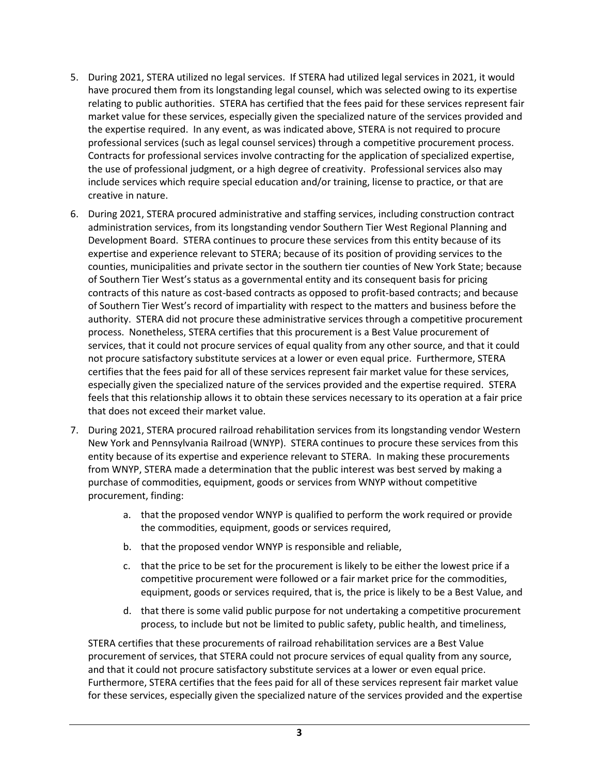- 5. During 2021, STERA utilized no legal services. If STERA had utilized legal services in 2021, it would have procured them from its longstanding legal counsel, which was selected owing to its expertise relating to public authorities. STERA has certified that the fees paid for these services represent fair market value for these services, especially given the specialized nature of the services provided and the expertise required. In any event, as was indicated above, STERA is not required to procure professional services (such as legal counsel services) through a competitive procurement process. Contracts for professional services involve contracting for the application of specialized expertise, the use of professional judgment, or a high degree of creativity. Professional services also may include services which require special education and/or training, license to practice, or that are creative in nature.
- 6. During 2021, STERA procured administrative and staffing services, including construction contract administration services, from its longstanding vendor Southern Tier West Regional Planning and Development Board. STERA continues to procure these services from this entity because of its expertise and experience relevant to STERA; because of its position of providing services to the counties, municipalities and private sector in the southern tier counties of New York State; because of Southern Tier West's status as a governmental entity and its consequent basis for pricing contracts of this nature as cost-based contracts as opposed to profit-based contracts; and because of Southern Tier West's record of impartiality with respect to the matters and business before the authority. STERA did not procure these administrative services through a competitive procurement process. Nonetheless, STERA certifies that this procurement is a Best Value procurement of services, that it could not procure services of equal quality from any other source, and that it could not procure satisfactory substitute services at a lower or even equal price. Furthermore, STERA certifies that the fees paid for all of these services represent fair market value for these services, especially given the specialized nature of the services provided and the expertise required. STERA feels that this relationship allows it to obtain these services necessary to its operation at a fair price that does not exceed their market value.
- 7. During 2021, STERA procured railroad rehabilitation services from its longstanding vendor Western New York and Pennsylvania Railroad (WNYP). STERA continues to procure these services from this entity because of its expertise and experience relevant to STERA. In making these procurements from WNYP, STERA made a determination that the public interest was best served by making a purchase of commodities, equipment, goods or services from WNYP without competitive procurement, finding:
	- a. that the proposed vendor WNYP is qualified to perform the work required or provide the commodities, equipment, goods or services required,
	- b. that the proposed vendor WNYP is responsible and reliable,
	- c. that the price to be set for the procurement is likely to be either the lowest price if a competitive procurement were followed or a fair market price for the commodities, equipment, goods or services required, that is, the price is likely to be a Best Value, and
	- d. that there is some valid public purpose for not undertaking a competitive procurement process, to include but not be limited to public safety, public health, and timeliness,

STERA certifies that these procurements of railroad rehabilitation services are a Best Value procurement of services, that STERA could not procure services of equal quality from any source, and that it could not procure satisfactory substitute services at a lower or even equal price. Furthermore, STERA certifies that the fees paid for all of these services represent fair market value for these services, especially given the specialized nature of the services provided and the expertise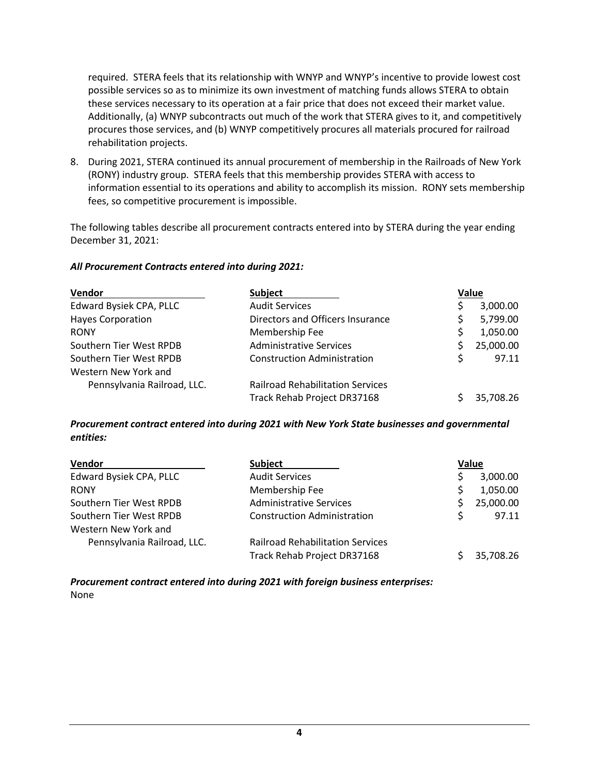required. STERA feels that its relationship with WNYP and WNYP's incentive to provide lowest cost possible services so as to minimize its own investment of matching funds allows STERA to obtain these services necessary to its operation at a fair price that does not exceed their market value. Additionally, (a) WNYP subcontracts out much of the work that STERA gives to it, and competitively procures those services, and (b) WNYP competitively procures all materials procured for railroad rehabilitation projects.

8. During 2021, STERA continued its annual procurement of membership in the Railroads of New York (RONY) industry group. STERA feels that this membership provides STERA with access to information essential to its operations and ability to accomplish its mission. RONY sets membership fees, so competitive procurement is impossible.

The following tables describe all procurement contracts entered into by STERA during the year ending December 31, 2021:

#### *All Procurement Contracts entered into during 2021:*

| Vendor                      | <b>Subject</b><br><b>Audit Services</b> | Value |           |
|-----------------------------|-----------------------------------------|-------|-----------|
| Edward Bysiek CPA, PLLC     |                                         |       | 3,000.00  |
| <b>Hayes Corporation</b>    | Directors and Officers Insurance        |       | 5,799.00  |
| <b>RONY</b>                 | Membership Fee                          |       | 1,050.00  |
| Southern Tier West RPDB     | <b>Administrative Services</b>          |       | 25,000.00 |
| Southern Tier West RPDB     | <b>Construction Administration</b>      |       | 97.11     |
| Western New York and        |                                         |       |           |
| Pennsylvania Railroad, LLC. | <b>Railroad Rehabilitation Services</b> |       |           |
|                             | Track Rehab Project DR37168             |       | 35,708.26 |

*Procurement contract entered into during 2021 with New York State businesses and governmental entities:*

| Vendor                      | <b>Subject</b><br><b>Audit Services</b> | Value |           |
|-----------------------------|-----------------------------------------|-------|-----------|
| Edward Bysiek CPA, PLLC     |                                         |       | 3,000.00  |
| <b>RONY</b>                 | Membership Fee                          |       | 1,050.00  |
| Southern Tier West RPDB     | <b>Administrative Services</b>          |       | 25,000.00 |
| Southern Tier West RPDB     | <b>Construction Administration</b>      |       | 97.11     |
| Western New York and        |                                         |       |           |
| Pennsylvania Railroad, LLC. | <b>Railroad Rehabilitation Services</b> |       |           |
|                             | Track Rehab Project DR37168             |       | 35,708.26 |

*Procurement contract entered into during 2021 with foreign business enterprises:* None